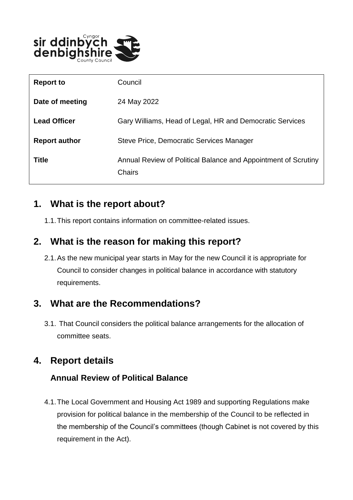

| <b>Report to</b>     | Council                                                                  |
|----------------------|--------------------------------------------------------------------------|
| Date of meeting      | 24 May 2022                                                              |
| <b>Lead Officer</b>  | Gary Williams, Head of Legal, HR and Democratic Services                 |
| <b>Report author</b> | Steve Price, Democratic Services Manager                                 |
| Title                | Annual Review of Political Balance and Appointment of Scrutiny<br>Chairs |

# **1. What is the report about?**

1.1.This report contains information on committee-related issues.

### **2. What is the reason for making this report?**

2.1.As the new municipal year starts in May for the new Council it is appropriate for Council to consider changes in political balance in accordance with statutory requirements.

# **3. What are the Recommendations?**

3.1. That Council considers the political balance arrangements for the allocation of committee seats.

# **4. Report details**

#### **Annual Review of Political Balance**

4.1.The Local Government and Housing Act 1989 and supporting Regulations make provision for political balance in the membership of the Council to be reflected in the membership of the Council's committees (though Cabinet is not covered by this requirement in the Act).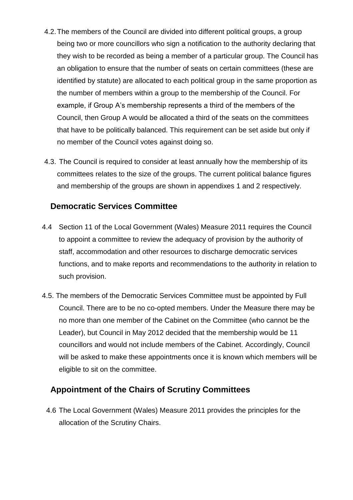- 4.2.The members of the Council are divided into different political groups, a group being two or more councillors who sign a notification to the authority declaring that they wish to be recorded as being a member of a particular group. The Council has an obligation to ensure that the number of seats on certain committees (these are identified by statute) are allocated to each political group in the same proportion as the number of members within a group to the membership of the Council. For example, if Group A's membership represents a third of the members of the Council, then Group A would be allocated a third of the seats on the committees that have to be politically balanced. This requirement can be set aside but only if no member of the Council votes against doing so.
- 4.3. The Council is required to consider at least annually how the membership of its committees relates to the size of the groups. The current political balance figures and membership of the groups are shown in appendixes 1 and 2 respectively.

#### **Democratic Services Committee**

- 4.4 Section 11 of the Local Government (Wales) Measure 2011 requires the Council to appoint a committee to review the adequacy of provision by the authority of staff, accommodation and other resources to discharge democratic services functions, and to make reports and recommendations to the authority in relation to such provision.
- 4.5. The members of the Democratic Services Committee must be appointed by Full Council. There are to be no co-opted members. Under the Measure there may be no more than one member of the Cabinet on the Committee (who cannot be the Leader), but Council in May 2012 decided that the membership would be 11 councillors and would not include members of the Cabinet. Accordingly, Council will be asked to make these appointments once it is known which members will be eligible to sit on the committee.

#### **Appointment of the Chairs of Scrutiny Committees**

4.6 The Local Government (Wales) Measure 2011 provides the principles for the allocation of the Scrutiny Chairs.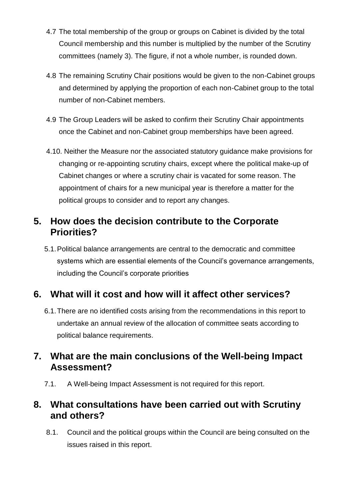- 4.7 The total membership of the group or groups on Cabinet is divided by the total Council membership and this number is multiplied by the number of the Scrutiny committees (namely 3). The figure, if not a whole number, is rounded down.
- 4.8 The remaining Scrutiny Chair positions would be given to the non-Cabinet groups and determined by applying the proportion of each non-Cabinet group to the total number of non-Cabinet members.
- 4.9 The Group Leaders will be asked to confirm their Scrutiny Chair appointments once the Cabinet and non-Cabinet group memberships have been agreed.
- 4.10. Neither the Measure nor the associated statutory guidance make provisions for changing or re-appointing scrutiny chairs, except where the political make-up of Cabinet changes or where a scrutiny chair is vacated for some reason. The appointment of chairs for a new municipal year is therefore a matter for the political groups to consider and to report any changes.

# **5. How does the decision contribute to the Corporate Priorities?**

5.1.Political balance arrangements are central to the democratic and committee systems which are essential elements of the Council's governance arrangements, including the Council's corporate priorities

# **6. What will it cost and how will it affect other services?**

6.1.There are no identified costs arising from the recommendations in this report to undertake an annual review of the allocation of committee seats according to political balance requirements.

# **7. What are the main conclusions of the Well-being Impact Assessment?**

7.1. A Well-being Impact Assessment is not required for this report.

# **8. What consultations have been carried out with Scrutiny and others?**

8.1. Council and the political groups within the Council are being consulted on the issues raised in this report.